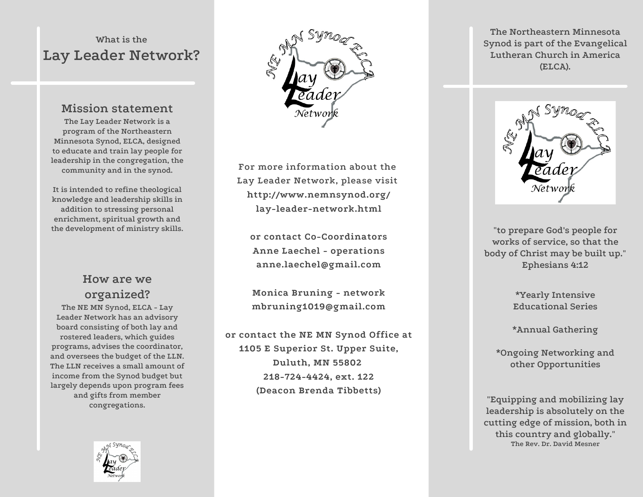# **What is the Lay Leader Network?**

# **Mission statement**

**The Lay Leader Network is a program of the Northeastern Minnesota Synod, ELCA, designed to educate and train lay people for leadership in the congregation, the community and in the synod.**

**It is intended to refine theological knowledge and leadership skills in addition to stressing personal enrichment, spiritual growth and the development of ministry skills.**

# **How are we organized?**

**The NE MN Synod, ELCA - Lay Leader Network has an advisory board consisting of both lay and rostered leaders, which guides programs, advises the coordinator, and oversees the budget of the LLN. The LLN receives a small amount of income from the Synod budget but largely depends upon program fees and gifts from member congregations.**



**For more information about the Lay Leader Network, please visit http://www.nemnsynod.org/ lay-leader-network.html**

**or contact Co-Coordinators Anne Laechel - operations anne.laechel@gmail.com**

**Monica Bruning - network mbruning1019@gmail.com**

**or contact the NE MN Synod Office at 1105 E Superior St. Upper Suite, Duluth, MN 55802 218-724-4424, ext. 122 (Deacon Brenda Tibbetts)**

**The Northeastern Minnesota Synod is part of the Evangelical Lutheran Church in America (ELCA).**



**"to prepare God's people for works of service, so that the body of Christ may be built up." Ephesians 4:12**

> **\*Yearly Intensive Educational Series**

**\*Annual Gathering**

**\*Ongoing Networking and other Opportunities**

**"Equipping and mobilizing lay leadership is absolutely on the cutting edge of mission, both in this country and globally." The Rev. Dr. David Mesner**